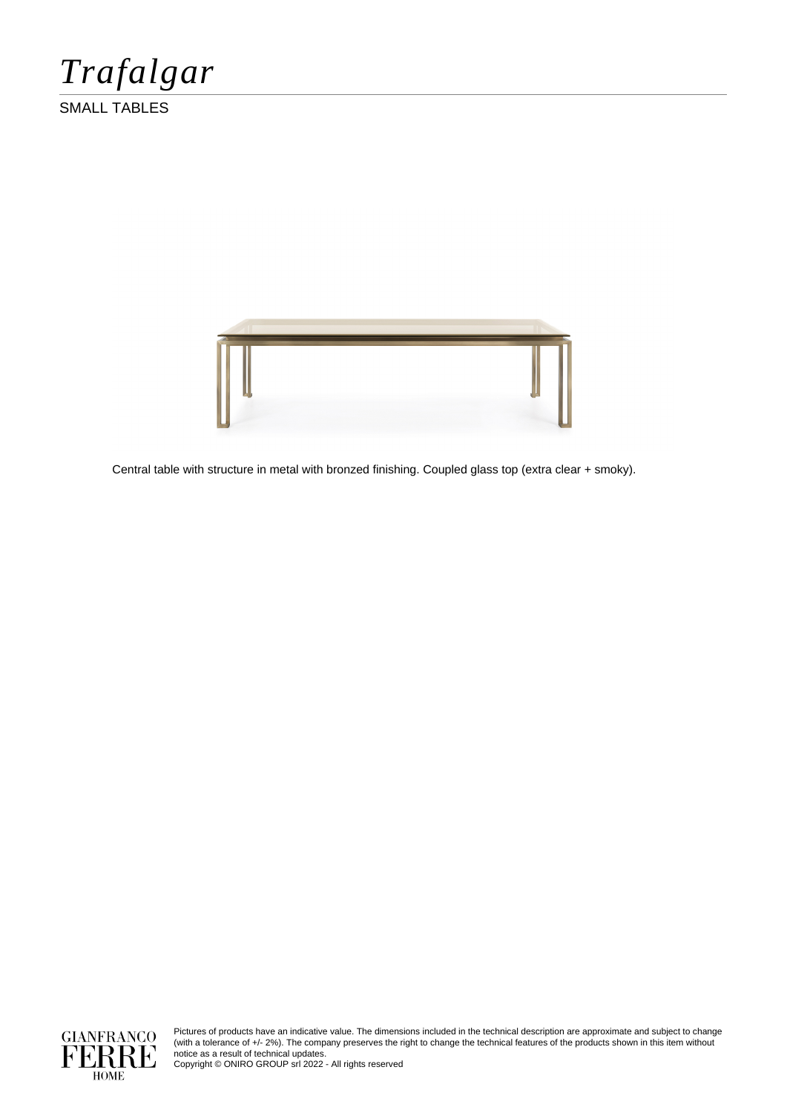*Trafalgar*

SMALL TABLES



Central table with structure in metal with bronzed finishing. Coupled glass top (extra clear + smoky).



Pictures of products have an indicative value. The dimensions included in the technical description are approximate and subject to change (with a tolerance of +/- 2%). The company preserves the right to change the technical features of the products shown in this item without notice as a result of technical updates.

Copyright © ONIRO GROUP srl 2022 - All rights reserved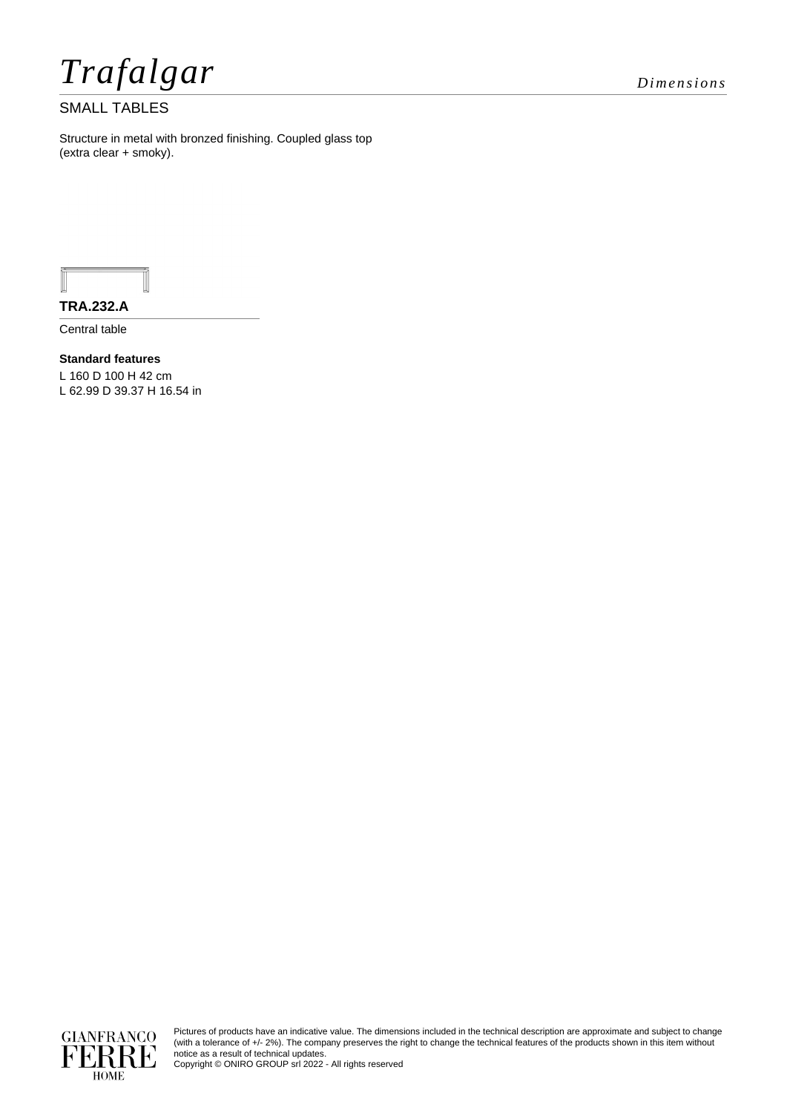*Trafalgar Dimensions*

## SMALL TABLES

Structure in metal with bronzed finishing. Coupled glass top (extra clear + smoky).

**TRA.232.A**

Central table

**Standard features** L 160 D 100 H 42 cm L 62.99 D 39.37 H 16.54 in





Pictures of products have an indicative value. The dimensions included in the technical description are approximate and subject to change (with a tolerance of +/- 2%). The company preserves the right to change the technical features of the products shown in this item without notice as a result of technical updates.

Copyright © ONIRO GROUP srl 2022 - All rights reserved